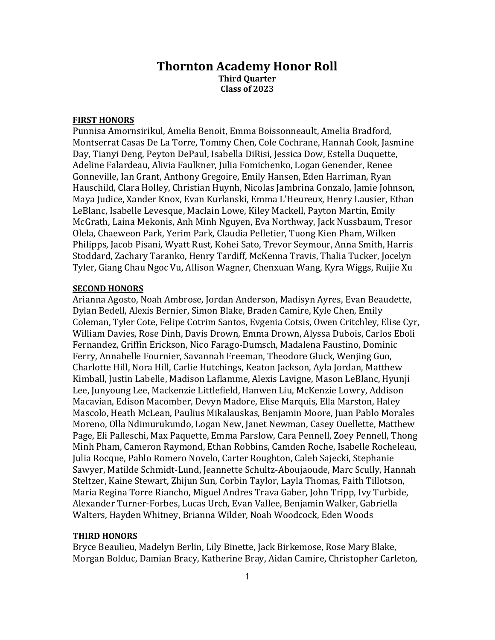## Thornton Academy Honor Roll Third Quarter Class of 2023

## FIRST HONORS

Punnisa Amornsirikul, Amelia Benoit, Emma Boissonneault, Amelia Bradford, Montserrat Casas De La Torre, Tommy Chen, Cole Cochrane, Hannah Cook, Jasmine Day, Tianyi Deng, Peyton DePaul, Isabella DiRisi, Jessica Dow, Estella Duquette, Adeline Falardeau, Alivia Faulkner, Julia Fomichenko, Logan Genender, Renee Gonneville, Ian Grant, Anthony Gregoire, Emily Hansen, Eden Harriman, Ryan Hauschild, Clara Holley, Christian Huynh, Nicolas Jambrina Gonzalo, Jamie Johnson, Maya Judice, Xander Knox, Evan Kurlanski, Emma L'Heureux, Henry Lausier, Ethan LeBlanc, Isabelle Levesque, Maclain Lowe, Kiley Mackell, Payton Martin, Emily McGrath, Laina Mekonis, Anh Minh Nguyen, Eva Northway, Jack Nussbaum, Tresor Olela, Chaeweon Park, Yerim Park, Claudia Pelletier, Tuong Kien Pham, Wilken Philipps, Jacob Pisani, Wyatt Rust, Kohei Sato, Trevor Seymour, Anna Smith, Harris Stoddard, Zachary Taranko, Henry Tardiff, McKenna Travis, Thalia Tucker, Jocelyn Tyler, Giang Chau Ngoc Vu, Allison Wagner, Chenxuan Wang, Kyra Wiggs, Ruijie Xu

## SECOND HONORS

Arianna Agosto, Noah Ambrose, Jordan Anderson, Madisyn Ayres, Evan Beaudette, Dylan Bedell, Alexis Bernier, Simon Blake, Braden Camire, Kyle Chen, Emily Coleman, Tyler Cote, Felipe Cotrim Santos, Evgenia Cotsis, Owen Critchley, Elise Cyr, William Davies, Rose Dinh, Davis Drown, Emma Drown, Alyssa Dubois, Carlos Eboli Fernandez, Griffin Erickson, Nico Farago-Dumsch, Madalena Faustino, Dominic Ferry, Annabelle Fournier, Savannah Freeman, Theodore Gluck, Wenjing Guo, Charlotte Hill, Nora Hill, Carlie Hutchings, Keaton Jackson, Ayla Jordan, Matthew Kimball, Justin Labelle, Madison Laflamme, Alexis Lavigne, Mason LeBlanc, Hyunji Lee, Junyoung Lee, Mackenzie Littlefield, Hanwen Liu, McKenzie Lowry, Addison Macavian, Edison Macomber, Devyn Madore, Elise Marquis, Ella Marston, Haley Mascolo, Heath McLean, Paulius Mikalauskas, Benjamin Moore, Juan Pablo Morales Moreno, Olla Ndimurukundo, Logan New, Janet Newman, Casey Ouellette, Matthew Page, Eli Palleschi, Max Paquette, Emma Parslow, Cara Pennell, Zoey Pennell, Thong Minh Pham, Cameron Raymond, Ethan Robbins, Camden Roche, Isabelle Rocheleau, Julia Rocque, Pablo Romero Novelo, Carter Roughton, Caleb Sajecki, Stephanie Sawyer, Matilde Schmidt-Lund, Jeannette Schultz-Aboujaoude, Marc Scully, Hannah Steltzer, Kaine Stewart, Zhijun Sun, Corbin Taylor, Layla Thomas, Faith Tillotson, Maria Regina Torre Riancho, Miguel Andres Trava Gaber, John Tripp, Ivy Turbide, Alexander Turner-Forbes, Lucas Urch, Evan Vallee, Benjamin Walker, Gabriella Walters, Hayden Whitney, Brianna Wilder, Noah Woodcock, Eden Woods

## THIRD HONORS

Bryce Beaulieu, Madelyn Berlin, Lily Binette, Jack Birkemose, Rose Mary Blake, Morgan Bolduc, Damian Bracy, Katherine Bray, Aidan Camire, Christopher Carleton,